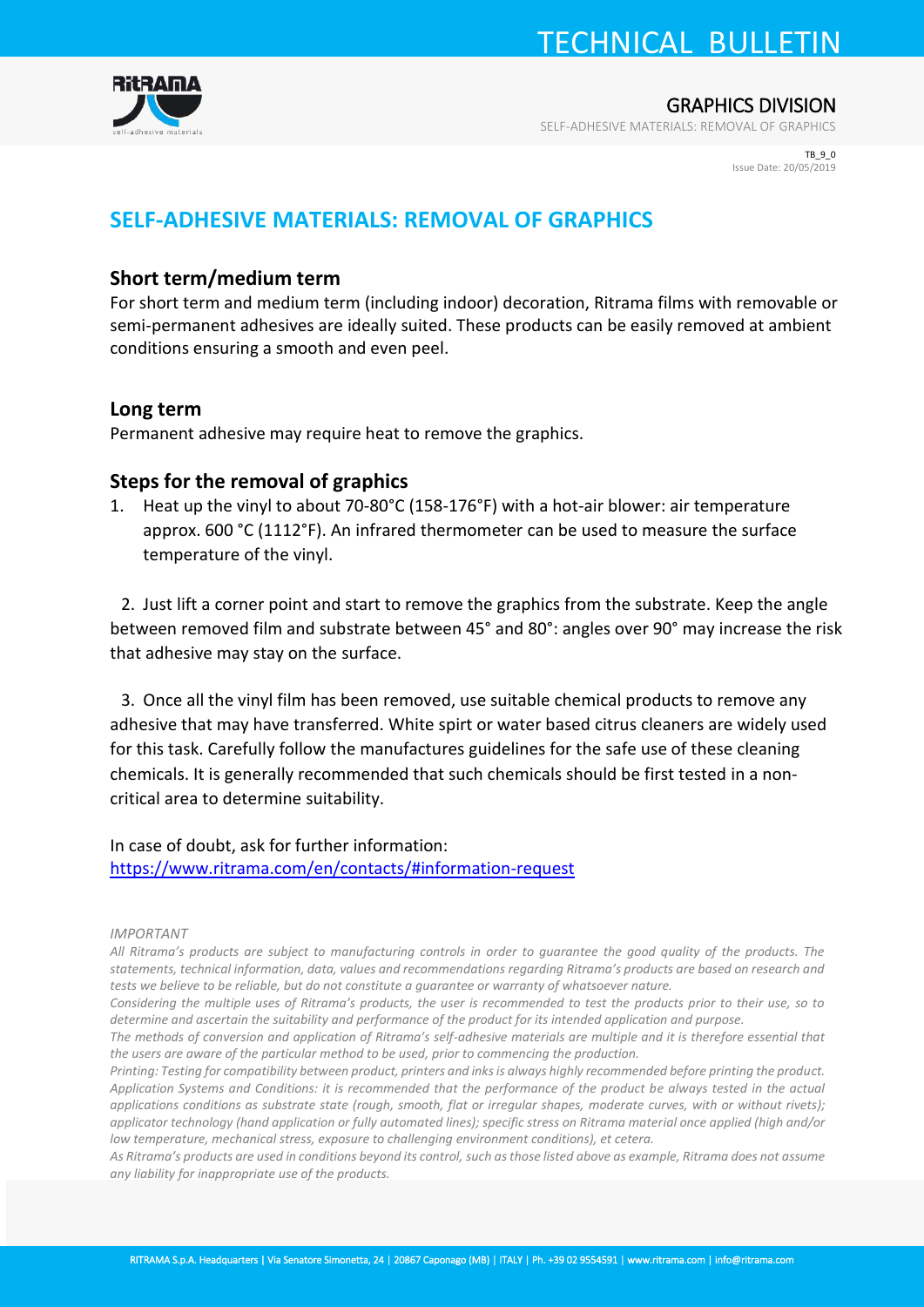TECHNICAL BULLETIN



GRAPHICS DIVISION

SELF-ADHESIVE MATERIALS: REMOVAL OF GRAPHICS

TR<sub>90</sub> Issue Date: 20/05/2019

## **SELF-ADHESIVE MATERIALS: REMOVAL OF GRAPHICS**

### **Short term/medium term**

For short term and medium term (including indoor) decoration, Ritrama films with removable or semi-permanent adhesives are ideally suited. These products can be easily removed at ambient conditions ensuring a smooth and even peel.

#### **Long term**

Permanent adhesive may require heat to remove the graphics.

#### **Steps for the removal of graphics**

1. Heat up the vinyl to about 70-80°C (158-176°F) with a hot-air blower: air temperature approx. 600 °C (1112°F). An infrared thermometer can be used to measure the surface temperature of the vinyl.

2. Just lift a corner point and start to remove the graphics from the substrate. Keep the angle between removed film and substrate between 45° and 80°: angles over 90° may increase the risk that adhesive may stay on the surface.

3. Once all the vinyl film has been removed, use suitable chemical products to remove any adhesive that may have transferred. White spirt or water based citrus cleaners are widely used for this task. Carefully follow the manufactures guidelines for the safe use of these cleaning chemicals. It is generally recommended that such chemicals should be first tested in a noncritical area to determine suitability.

In case of doubt, ask for further information: <https://www.ritrama.com/en/contacts/#information-request>

#### *IMPORTANT*

*All Ritrama's products are subject to manufacturing controls in order to guarantee the good quality of the products. The statements, technical information, data, values and recommendations regarding Ritrama's products are based on research and tests we believe to be reliable, but do not constitute a guarantee or warranty of whatsoever nature.* 

*Considering the multiple uses of Ritrama's products, the user is recommended to test the products prior to their use, so to determine and ascertain the suitability and performance of the product for its intended application and purpose.* 

*The methods of conversion and application of Ritrama's self-adhesive materials are multiple and it is therefore essential that the users are aware of the particular method to be used, prior to commencing the production.* 

*Printing: Testing for compatibility between product, printers and inks is always highly recommended before printing the product. Application Systems and Conditions: it is recommended that the performance of the product be always tested in the actual applications conditions as substrate state (rough, smooth, flat or irregular shapes, moderate curves, with or without rivets); applicator technology (hand application or fully automated lines); specific stress on Ritrama material once applied (high and/or low temperature, mechanical stress, exposure to challenging environment conditions), et cetera.* 

*As Ritrama's products are used in conditions beyond its control, such as those listed above as example, Ritrama does not assume any liability for inappropriate use of the products.*